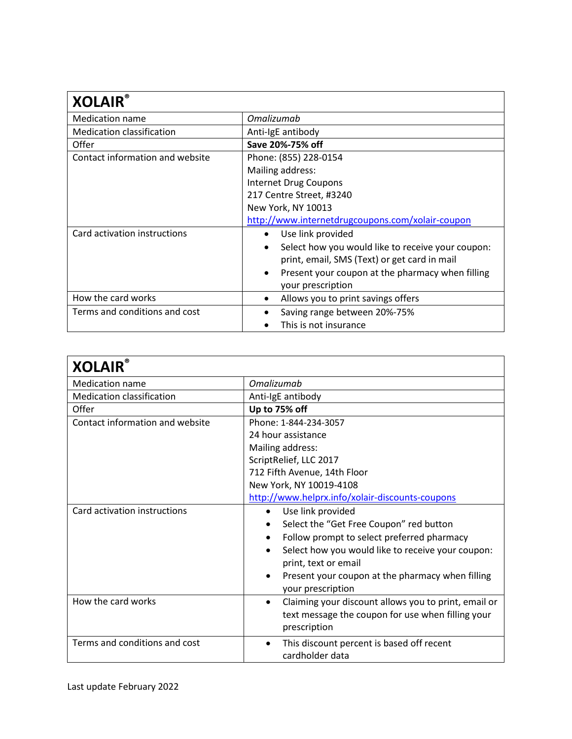| <b>XOLAIR</b>                    |                                                   |
|----------------------------------|---------------------------------------------------|
| Medication name                  | Omalizumab                                        |
| <b>Medication classification</b> | Anti-IgE antibody                                 |
| Offer                            | Save 20%-75% off                                  |
| Contact information and website  | Phone: (855) 228-0154                             |
|                                  | Mailing address:                                  |
|                                  | Internet Drug Coupons                             |
|                                  | 217 Centre Street, #3240                          |
|                                  | New York, NY 10013                                |
|                                  | http://www.internetdrugcoupons.com/xolair-coupon  |
| Card activation instructions     | Use link provided                                 |
|                                  | Select how you would like to receive your coupon: |
|                                  | print, email, SMS (Text) or get card in mail      |
|                                  | Present your coupon at the pharmacy when filling  |
|                                  | your prescription                                 |
| How the card works               | Allows you to print savings offers                |
| Terms and conditions and cost    | Saving range between 20%-75%                      |
|                                  | This is not insurance                             |

| <b>XOLAIR®</b>                   |                                                                   |
|----------------------------------|-------------------------------------------------------------------|
| <b>Medication name</b>           | Omalizumab                                                        |
| <b>Medication classification</b> | Anti-IgE antibody                                                 |
| Offer                            | Up to 75% off                                                     |
| Contact information and website  | Phone: 1-844-234-3057                                             |
|                                  | 24 hour assistance                                                |
|                                  | Mailing address:                                                  |
|                                  | ScriptRelief, LLC 2017                                            |
|                                  | 712 Fifth Avenue, 14th Floor                                      |
|                                  | New York, NY 10019-4108                                           |
|                                  | http://www.helprx.info/xolair-discounts-coupons                   |
| Card activation instructions     | Use link provided<br>$\bullet$                                    |
|                                  | Select the "Get Free Coupon" red button                           |
|                                  | Follow prompt to select preferred pharmacy                        |
|                                  | Select how you would like to receive your coupon:<br>$\bullet$    |
|                                  | print, text or email                                              |
|                                  | Present your coupon at the pharmacy when filling                  |
|                                  | your prescription                                                 |
| How the card works               | Claiming your discount allows you to print, email or<br>$\bullet$ |
|                                  | text message the coupon for use when filling your                 |
|                                  | prescription                                                      |
| Terms and conditions and cost    | This discount percent is based off recent<br>$\bullet$            |
|                                  | cardholder data                                                   |